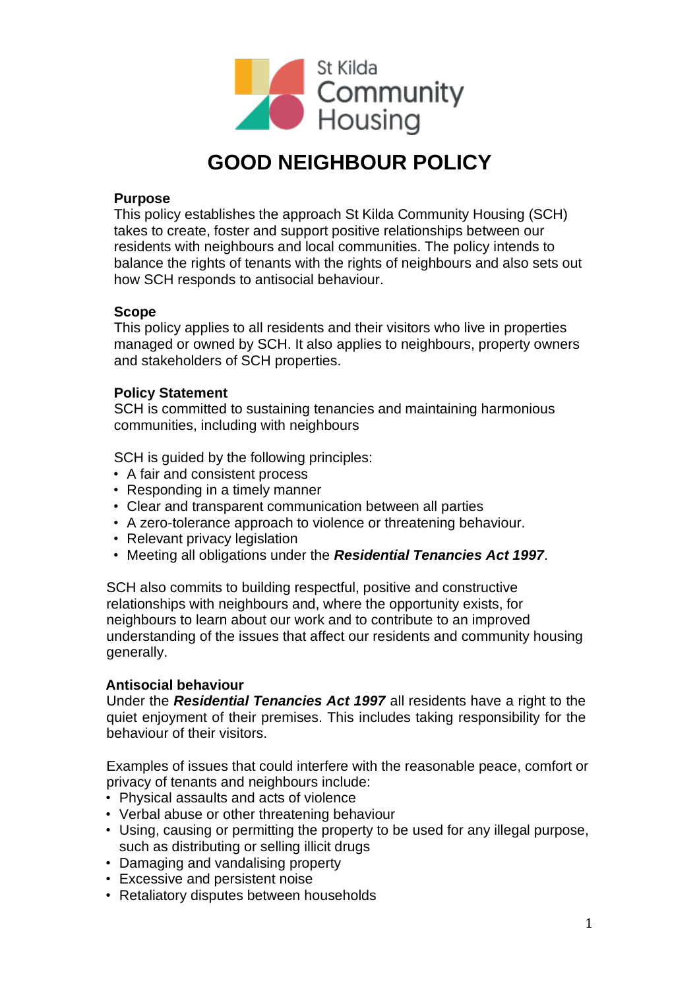

# **GOOD NEIGHBOUR POLICY**

#### **Purpose**

This policy establishes the approach St Kilda Community Housing (SCH) takes to create, foster and support positive relationships between our residents with neighbours and local communities. The policy intends to balance the rights of tenants with the rights of neighbours and also sets out how SCH responds to antisocial behaviour.

#### **Scope**

This policy applies to all residents and their visitors who live in properties managed or owned by SCH. It also applies to neighbours, property owners and stakeholders of SCH properties.

## **Policy Statement**

SCH is committed to sustaining tenancies and maintaining harmonious communities, including with neighbours

SCH is guided by the following principles:

- A fair and consistent process
- Responding in a timely manner
- Clear and transparent communication between all parties
- A zero-tolerance approach to violence or threatening behaviour.
- Relevant privacy legislation
- Meeting all obligations under the *Residential Tenancies Act 1997*.

SCH also commits to building respectful, positive and constructive relationships with neighbours and, where the opportunity exists, for neighbours to learn about our work and to contribute to an improved understanding of the issues that affect our residents and community housing generally.

## **Antisocial behaviour**

Under the *Residential Tenancies Act 1997* all residents have a right to the quiet enjoyment of their premises. This includes taking responsibility for the behaviour of their visitors.

Examples of issues that could interfere with the reasonable peace, comfort or privacy of tenants and neighbours include:

- Physical assaults and acts of violence
- Verbal abuse or other threatening behaviour
- Using, causing or permitting the property to be used for any illegal purpose, such as distributing or selling illicit drugs
- Damaging and vandalising property
- Excessive and persistent noise
- Retaliatory disputes between households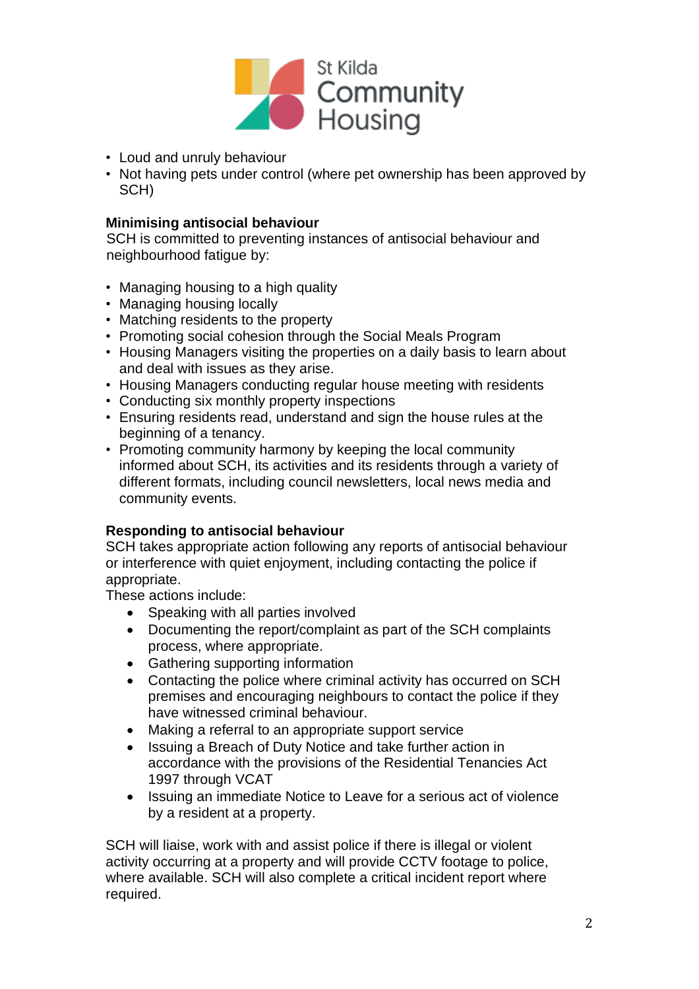

- Loud and unruly behaviour
- Not having pets under control (where pet ownership has been approved by SCH)

# **Minimising antisocial behaviour**

SCH is committed to preventing instances of antisocial behaviour and neighbourhood fatigue by:

- Managing housing to a high quality
- Managing housing locally
- Matching residents to the property
- Promoting social cohesion through the Social Meals Program
- Housing Managers visiting the properties on a daily basis to learn about and deal with issues as they arise.
- Housing Managers conducting regular house meeting with residents
- Conducting six monthly property inspections
- Ensuring residents read, understand and sign the house rules at the beginning of a tenancy.
- Promoting community harmony by keeping the local community informed about SCH, its activities and its residents through a variety of different formats, including council newsletters, local news media and community events.

## **Responding to antisocial behaviour**

SCH takes appropriate action following any reports of antisocial behaviour or interference with quiet enjoyment, including contacting the police if appropriate.

These actions include:

- Speaking with all parties involved
- Documenting the report/complaint as part of the SCH complaints process, where appropriate.
- Gathering supporting information
- Contacting the police where criminal activity has occurred on SCH premises and encouraging neighbours to contact the police if they have witnessed criminal behaviour.
- Making a referral to an appropriate support service
- Issuing a Breach of Duty Notice and take further action in accordance with the provisions of the Residential Tenancies Act 1997 through VCAT
- Issuing an immediate Notice to Leave for a serious act of violence by a resident at a property.

SCH will liaise, work with and assist police if there is illegal or violent activity occurring at a property and will provide CCTV footage to police, where available. SCH will also complete a critical incident report where required.